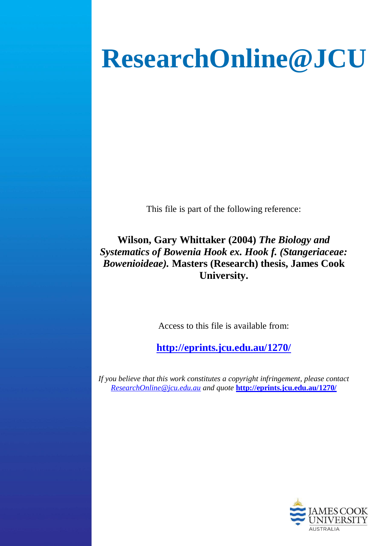# **ResearchOnline@JCU**

This file is part of the following reference:

**Wilson, Gary Whittaker (2004)** *The Biology and Systematics of Bowenia Hook ex. Hook f. (Stangeriaceae: Bowenioideae).* **Masters (Research) thesis, James Cook University.**

Access to this file is available from:

**<http://eprints.jcu.edu.au/1270/>**

*If you believe that this work constitutes a copyright infringement, please contact [ResearchOnline@jcu.edu.au](mailto:ResearchOnline@jcu.edu.au) and quote* **<http://eprints.jcu.edu.au/1270/>**

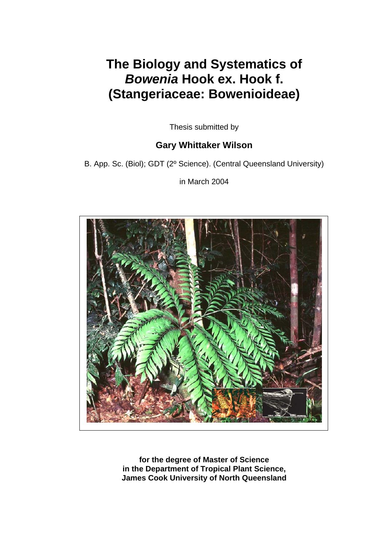## **The Biology and Systematics of**  *Bowenia* **Hook ex. Hook f. (Stangeriaceae: Bowenioideae)**

Thesis submitted by

## **Gary Whittaker Wilson**

B. App. Sc. (Biol); GDT (2º Science). (Central Queensland University)

in March 2004



**for the degree of Master of Science in the Department of Tropical Plant Science, James Cook University of North Queensland**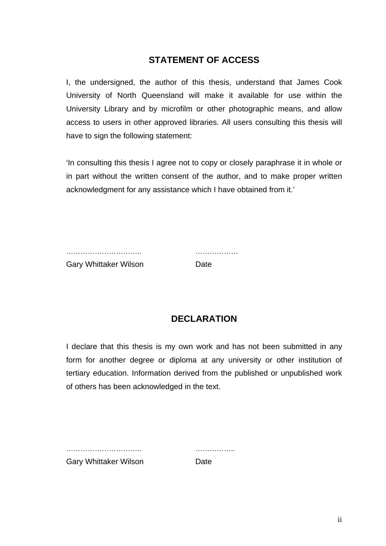## **STATEMENT OF ACCESS**

I, the undersigned, the author of this thesis, understand that James Cook University of North Queensland will make it available for use within the University Library and by microfilm or other photographic means, and allow access to users in other approved libraries. All users consulting this thesis will have to sign the following statement:

'In consulting this thesis I agree not to copy or closely paraphrase it in whole or in part without the written consent of the author, and to make proper written acknowledgment for any assistance which I have obtained from it.'

………………………….. ……………… Gary Whittaker Wilson **Date** 

## **DECLARATION**

I declare that this thesis is my own work and has not been submitted in any form for another degree or diploma at any university or other institution of tertiary education. Information derived from the published or unpublished work of others has been acknowledged in the text.

|                              | . |
|------------------------------|---|
| <b>Gary Whittaker Wilson</b> |   |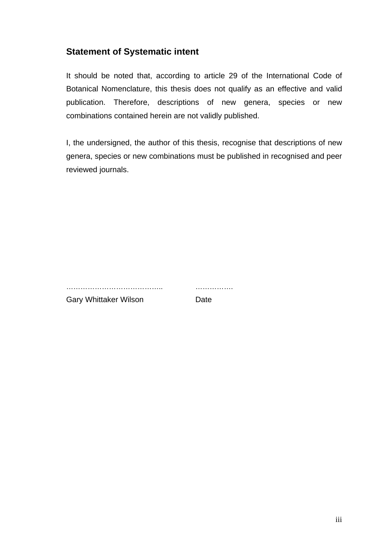## **Statement of Systematic intent**

It should be noted that, according to article 29 of the International Code of Botanical Nomenclature, this thesis does not qualify as an effective and valid publication. Therefore, descriptions of new genera, species or new combinations contained herein are not validly published.

I, the undersigned, the author of this thesis, recognise that descriptions of new genera, species or new combinations must be published in recognised and peer reviewed journals.

………………………………….. …………….

Gary Whittaker Wilson **Date**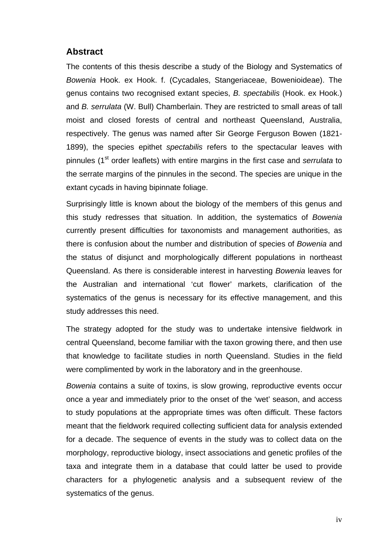### **Abstract**

The contents of this thesis describe a study of the Biology and Systematics of *Bowenia* Hook. ex Hook. f. (Cycadales, Stangeriaceae, Bowenioideae). The genus contains two recognised extant species, *B. spectabilis* (Hook. ex Hook.) and *B. serrulata* (W. Bull) Chamberlain. They are restricted to small areas of tall moist and closed forests of central and northeast Queensland, Australia, respectively. The genus was named after Sir George Ferguson Bowen (1821- 1899), the species epithet *spectabilis* refers to the spectacular leaves with pinnules (1<sup>st</sup> order leaflets) with entire margins in the first case and *serrulata* to the serrate margins of the pinnules in the second. The species are unique in the extant cycads in having bipinnate foliage.

Surprisingly little is known about the biology of the members of this genus and this study redresses that situation. In addition, the systematics of *Bowenia* currently present difficulties for taxonomists and management authorities, as there is confusion about the number and distribution of species of *Bowenia* and the status of disjunct and morphologically different populations in northeast Queensland. As there is considerable interest in harvesting *Bowenia* leaves for the Australian and international 'cut flower' markets, clarification of the systematics of the genus is necessary for its effective management, and this study addresses this need.

The strategy adopted for the study was to undertake intensive fieldwork in central Queensland, become familiar with the taxon growing there, and then use that knowledge to facilitate studies in north Queensland. Studies in the field were complimented by work in the laboratory and in the greenhouse.

*Bowenia* contains a suite of toxins, is slow growing, reproductive events occur once a year and immediately prior to the onset of the 'wet' season, and access to study populations at the appropriate times was often difficult. These factors meant that the fieldwork required collecting sufficient data for analysis extended for a decade. The sequence of events in the study was to collect data on the morphology, reproductive biology, insect associations and genetic profiles of the taxa and integrate them in a database that could latter be used to provide characters for a phylogenetic analysis and a subsequent review of the systematics of the genus.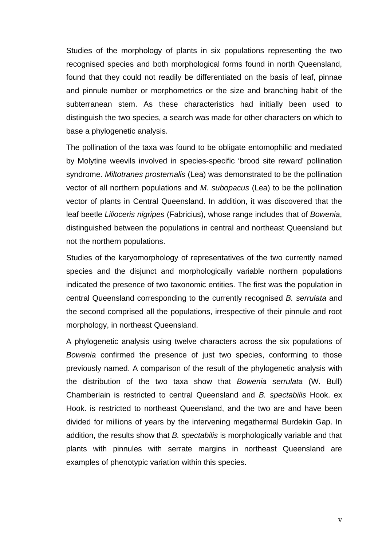Studies of the morphology of plants in six populations representing the two recognised species and both morphological forms found in north Queensland, found that they could not readily be differentiated on the basis of leaf, pinnae and pinnule number or morphometrics or the size and branching habit of the subterranean stem. As these characteristics had initially been used to distinguish the two species, a search was made for other characters on which to base a phylogenetic analysis.

The pollination of the taxa was found to be obligate entomophilic and mediated by Molytine weevils involved in species-specific 'brood site reward' pollination syndrome. *Miltotranes prosternalis* (Lea) was demonstrated to be the pollination vector of all northern populations and *M. subopacus* (Lea) to be the pollination vector of plants in Central Queensland. In addition, it was discovered that the leaf beetle *Lilioceris nigripes* (Fabricius), whose range includes that of *Bowenia*, distinguished between the populations in central and northeast Queensland but not the northern populations.

Studies of the karyomorphology of representatives of the two currently named species and the disjunct and morphologically variable northern populations indicated the presence of two taxonomic entities. The first was the population in central Queensland corresponding to the currently recognised *B. serrulata* and the second comprised all the populations, irrespective of their pinnule and root morphology, in northeast Queensland.

A phylogenetic analysis using twelve characters across the six populations of *Bowenia* confirmed the presence of just two species, conforming to those previously named. A comparison of the result of the phylogenetic analysis with the distribution of the two taxa show that *Bowenia serrulata* (W. Bull) Chamberlain is restricted to central Queensland and *B. spectabilis* Hook. ex Hook. is restricted to northeast Queensland, and the two are and have been divided for millions of years by the intervening megathermal Burdekin Gap. In addition, the results show that *B. spectabilis* is morphologically variable and that plants with pinnules with serrate margins in northeast Queensland are examples of phenotypic variation within this species.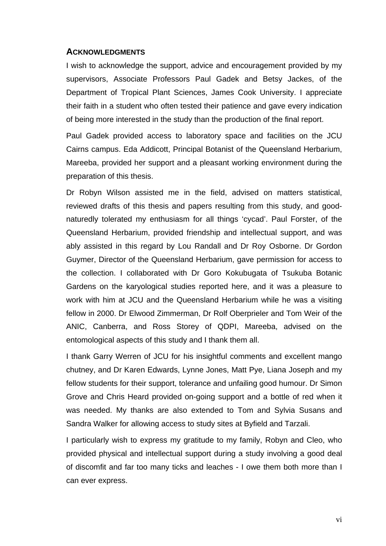#### **ACKNOWLEDGMENTS**

I wish to acknowledge the support, advice and encouragement provided by my supervisors, Associate Professors Paul Gadek and Betsy Jackes, of the Department of Tropical Plant Sciences, James Cook University. I appreciate their faith in a student who often tested their patience and gave every indication of being more interested in the study than the production of the final report.

Paul Gadek provided access to laboratory space and facilities on the JCU Cairns campus. Eda Addicott, Principal Botanist of the Queensland Herbarium, Mareeba, provided her support and a pleasant working environment during the preparation of this thesis.

Dr Robyn Wilson assisted me in the field, advised on matters statistical, reviewed drafts of this thesis and papers resulting from this study, and goodnaturedly tolerated my enthusiasm for all things 'cycad'. Paul Forster, of the Queensland Herbarium, provided friendship and intellectual support, and was ably assisted in this regard by Lou Randall and Dr Roy Osborne. Dr Gordon Guymer, Director of the Queensland Herbarium, gave permission for access to the collection. I collaborated with Dr Goro Kokubugata of Tsukuba Botanic Gardens on the karyological studies reported here, and it was a pleasure to work with him at JCU and the Queensland Herbarium while he was a visiting fellow in 2000. Dr Elwood Zimmerman, Dr Rolf Oberprieler and Tom Weir of the ANIC, Canberra, and Ross Storey of QDPI, Mareeba, advised on the entomological aspects of this study and I thank them all.

I thank Garry Werren of JCU for his insightful comments and excellent mango chutney, and Dr Karen Edwards, Lynne Jones, Matt Pye, Liana Joseph and my fellow students for their support, tolerance and unfailing good humour. Dr Simon Grove and Chris Heard provided on-going support and a bottle of red when it was needed. My thanks are also extended to Tom and Sylvia Susans and Sandra Walker for allowing access to study sites at Byfield and Tarzali.

I particularly wish to express my gratitude to my family, Robyn and Cleo, who provided physical and intellectual support during a study involving a good deal of discomfit and far too many ticks and leaches - I owe them both more than I can ever express.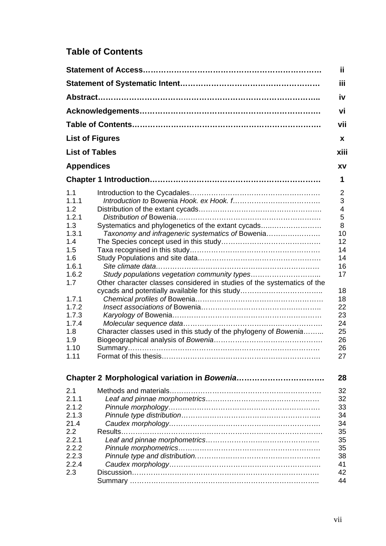## **Table of Contents**

|                        |                                                                         | Ϊİ        |
|------------------------|-------------------------------------------------------------------------|-----------|
|                        |                                                                         | iii       |
|                        |                                                                         | <b>iv</b> |
|                        |                                                                         | vi        |
|                        |                                                                         | vii       |
| <b>List of Figures</b> |                                                                         | x         |
| <b>List of Tables</b>  |                                                                         | xiii      |
| <b>Appendices</b>      |                                                                         | <b>XV</b> |
|                        |                                                                         | 1         |
| 1.1                    |                                                                         | 2         |
| 1.1.1                  |                                                                         | 3         |
| 1.2                    |                                                                         | 4         |
| 1.2.1                  |                                                                         | 5         |
| 1.3                    | Systematics and phylogenetics of the extant cycads                      | 8         |
| 1.3.1                  | Taxonomy and infrageneric systematics of Bowenia                        | 10        |
| 1.4                    |                                                                         | 12        |
| 1.5                    |                                                                         | 14        |
| 1.6                    |                                                                         | 14        |
| 1.6.1                  |                                                                         | 16        |
| 1.6.2                  | Study populations vegetation community types                            | 17        |
| 1.7                    | Other character classes considered in studies of the systematics of the |           |
|                        | cycads and potentially available for this study                         | 18        |
| 1.7.1                  |                                                                         | 18        |
| 1.7.2                  |                                                                         | 22        |
| 1.7.3                  |                                                                         | 23        |
| 1.7.4                  |                                                                         | 24        |
| 1.8                    | Character classes used in this study of the phylogeny of Bowenia        | 25        |
| 1.9                    |                                                                         | 26        |
| 1.10                   |                                                                         | 26        |
| 1.11                   |                                                                         | 27        |
|                        |                                                                         |           |
|                        |                                                                         | 28        |
| 2.1                    |                                                                         | 32        |
| 2.1.1                  |                                                                         | 32        |
| 2.1.2                  |                                                                         | 33        |
| 2.1.3                  |                                                                         | 34        |
| 21.4                   |                                                                         | 34        |
| 2.2                    |                                                                         | 35        |
| 2.2.1                  |                                                                         | 35        |
| 2.2.2                  |                                                                         | 35        |
| 2.2.3                  |                                                                         | 38        |
| 2.2.4                  |                                                                         | 41        |
| 2.3                    |                                                                         | 42        |
|                        |                                                                         | 44        |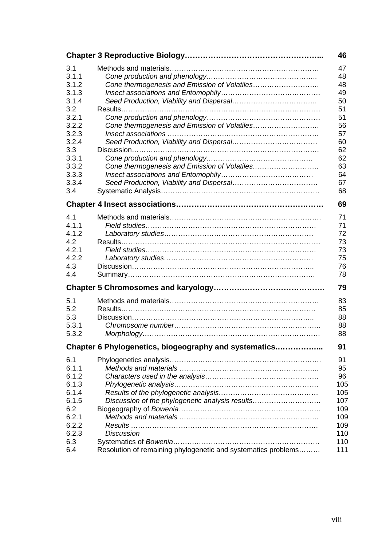|                                                                                                                               |                                                                                                                                       | 46                                                                                     |
|-------------------------------------------------------------------------------------------------------------------------------|---------------------------------------------------------------------------------------------------------------------------------------|----------------------------------------------------------------------------------------|
| 3.1<br>3.1.1<br>3.1.2<br>3.1.3<br>3.1.4<br>3.2<br>3.2.1<br>3.2.2<br>3.2.3<br>3.2.4<br>3.3<br>3.3.1<br>3.3.2<br>3.3.3<br>3.3.4 |                                                                                                                                       | 47<br>48<br>48<br>49<br>50<br>51<br>51<br>56<br>57<br>60<br>62<br>62<br>63<br>64<br>67 |
| 3.4                                                                                                                           |                                                                                                                                       | 68                                                                                     |
|                                                                                                                               |                                                                                                                                       | 69                                                                                     |
| 4.1<br>4.1.1<br>4.1.2<br>4.2<br>4.2.1<br>4.2.2<br>4.3<br>4.4                                                                  |                                                                                                                                       | 71<br>71<br>72<br>73<br>73<br>75<br>76<br>78                                           |
|                                                                                                                               |                                                                                                                                       | 79                                                                                     |
| 5.1<br>5.2<br>5.3<br>5.3.1<br>5.3.2                                                                                           |                                                                                                                                       | 83<br>85<br>88<br>88<br>88                                                             |
|                                                                                                                               | Chapter 6 Phylogenetics, biogeography and systematics                                                                                 | 91                                                                                     |
| 6.1<br>6.1.1<br>6.1.2<br>6.1.3<br>6.1.4<br>6.1.5<br>6.2<br>6.2.1<br>6.2.2<br>6.2.3<br>6.3<br>6.4                              | Discussion of the phylogenetic analysis results<br><b>Discussion</b><br>Resolution of remaining phylogenetic and systematics problems | 91<br>95<br>96<br>105<br>105<br>107<br>109<br>109<br>109<br>110<br>110<br>111          |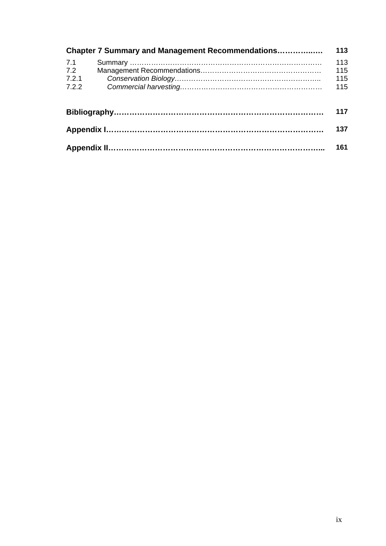|                              | <b>Chapter 7 Summary and Management Recommendations</b> | 113                      |
|------------------------------|---------------------------------------------------------|--------------------------|
| 7.1<br>7.2<br>7.2.1<br>7.2.2 |                                                         | 113<br>115<br>115<br>115 |
|                              |                                                         | 117                      |
|                              |                                                         | 137                      |
|                              |                                                         | 161                      |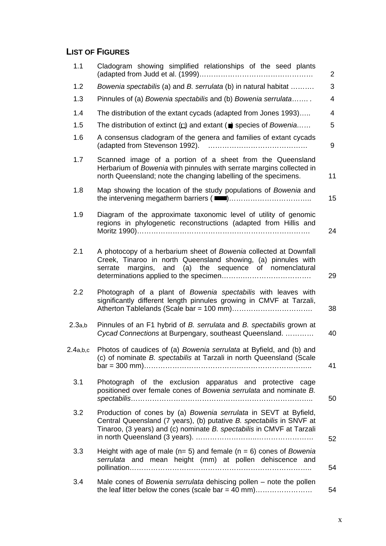## **LIST OF FIGURES**

| 1.1      | Cladogram showing simplified relationships of the seed plants                                                                                                                                                     | $\overline{2}$  |
|----------|-------------------------------------------------------------------------------------------------------------------------------------------------------------------------------------------------------------------|-----------------|
| 1.2      | Bowenia spectabilis (a) and B. serrulata (b) in natural habitat                                                                                                                                                   | 3               |
| 1.3      | Pinnules of (a) Bowenia spectabilis and (b) Bowenia serrulata                                                                                                                                                     | 4               |
| 1.4      | The distribution of the extant cycads (adapted from Jones 1993)                                                                                                                                                   | 4               |
| 1.5      | The distribution of extinct $\Box$ and extant ( $\Box$ ) species of <i>Bowenia</i>                                                                                                                                | 5               |
| 1.6      | A consensus cladogram of the genera and families of extant cycads<br>(adapted from Stevenson 1992).                                                                                                               | 9               |
| 1.7      | Scanned image of a portion of a sheet from the Queensland<br>Herbarium of Bowenia with pinnules with serrate margins collected in<br>north Queensland; note the changing labelling of the specimens.              | 11              |
| 1.8      | Map showing the location of the study populations of Bowenia and                                                                                                                                                  | 15 <sub>1</sub> |
| 1.9      | Diagram of the approximate taxonomic level of utility of genomic<br>regions in phylogenetic reconstructions (adapted from Hillis and                                                                              | 24              |
| 2.1      | A photocopy of a herbarium sheet of Bowenia collected at Downfall<br>Creek, Tinaroo in north Queensland showing, (a) pinnules with<br>margins, and (a) the sequence of nomenclatural<br>serrate                   | 29              |
| 2.2      | Photograph of a plant of Bowenia spectabilis with leaves with<br>significantly different length pinnules growing in CMVF at Tarzali,                                                                              | 38              |
| 2.3a,b   | Pinnules of an F1 hybrid of B. serrulata and B. spectabilis grown at<br>Cycad Connections at Burpengary, southeast Queensland.                                                                                    | 40              |
| 2.4a,b,c | Photos of caudices of (a) Bowenia serrulata at Byfield, and (b) and<br>(c) of nominate B. spectabilis at Tarzali in north Queensland (Scale                                                                       | 41              |
| 3.1      | Photograph of the exclusion apparatus and protective<br>cage<br>positioned over female cones of Bowenia serrulata and nominate B.                                                                                 | 50              |
| 3.2      | Production of cones by (a) Bowenia serrulata in SEVT at Byfield,<br>Central Queensland (7 years), (b) putative B. spectabilis in SNVF at<br>Tinaroo, (3 years) and (c) nominate B. spectabilis in CMVF at Tarzali | 52              |
| 3.3      | Height with age of male ( $n=5$ ) and female ( $n=6$ ) cones of Bowenia<br>serrulata and mean height (mm) at pollen dehiscence and                                                                                | 54              |
| 3.4      | Male cones of Bowenia serrulata dehiscing pollen - note the pollen                                                                                                                                                | 54              |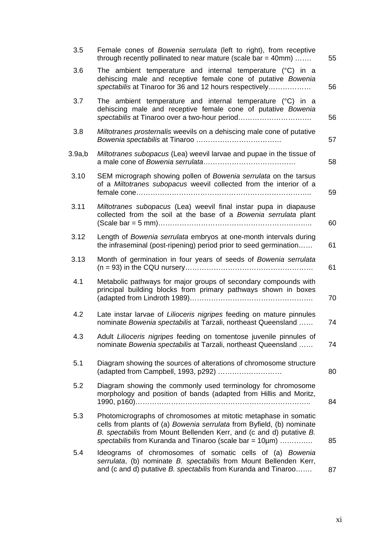| 3.5    | Female cones of Bowenia serrulata (left to right), from receptive<br>through recently pollinated to near mature (scale bar = 40mm)                                                                                                                                         | 55 |
|--------|----------------------------------------------------------------------------------------------------------------------------------------------------------------------------------------------------------------------------------------------------------------------------|----|
| 3.6    | The ambient temperature and internal temperature $(°C)$ in a<br>dehiscing male and receptive female cone of putative Bowenia<br>spectabilis at Tinaroo for 36 and 12 hours respectively                                                                                    | 56 |
| 3.7    | The ambient temperature and internal temperature $(°C)$ in a<br>dehiscing male and receptive female cone of putative Bowenia<br>spectabilis at Tinaroo over a two-hour period                                                                                              | 56 |
| 3.8    | Miltotranes prosternalis weevils on a dehiscing male cone of putative                                                                                                                                                                                                      | 57 |
| 3.9a,b | Miltotranes subopacus (Lea) weevil larvae and pupae in the tissue of                                                                                                                                                                                                       | 58 |
| 3.10   | SEM micrograph showing pollen of Bowenia serrulata on the tarsus<br>of a Miltotranes subopacus weevil collected from the interior of a                                                                                                                                     | 59 |
| 3.11   | Miltotranes subopacus (Lea) weevil final instar pupa in diapause<br>collected from the soil at the base of a Bowenia serrulata plant                                                                                                                                       | 60 |
| 3.12   | Length of Bowenia serrulata embryos at one-month intervals during<br>the infraseminal (post-ripening) period prior to seed germination                                                                                                                                     | 61 |
| 3.13   | Month of germination in four years of seeds of Bowenia serrulata                                                                                                                                                                                                           | 61 |
| 4.1    | Metabolic pathways for major groups of secondary compounds with<br>principal building blocks from primary pathways shown in boxes                                                                                                                                          | 70 |
| 4.2    | Late instar larvae of Lilioceris nigripes feeding on mature pinnules<br>nominate Bowenia spectabilis at Tarzali, northeast Queensland                                                                                                                                      | 74 |
| 4.3    | Adult Lilioceris nigripes feeding on tomentose juvenile pinnules of<br>nominate Bowenia spectabilis at Tarzali, northeast Queensland                                                                                                                                       | 74 |
| 5.1    | Diagram showing the sources of alterations of chromosome structure                                                                                                                                                                                                         | 80 |
| 5.2    | Diagram showing the commonly used terminology for chromosome<br>morphology and position of bands (adapted from Hillis and Moritz,                                                                                                                                          | 84 |
| 5.3    | Photomicrographs of chromosomes at mitotic metaphase in somatic<br>cells from plants of (a) Bowenia serrulata from Byfield, (b) nominate<br>B. spectabilis from Mount Bellenden Kerr, and (c and d) putative B.<br>spectabilis from Kuranda and Tinaroo (scale bar = 10µm) | 85 |
| 5.4    | Ideograms of chromosomes of somatic cells of (a) Bowenia<br>serrulata, (b) nominate B. spectabilis from Mount Bellenden Kerr,<br>and (c and d) putative B. spectabilis from Kuranda and Tinaroo                                                                            | 87 |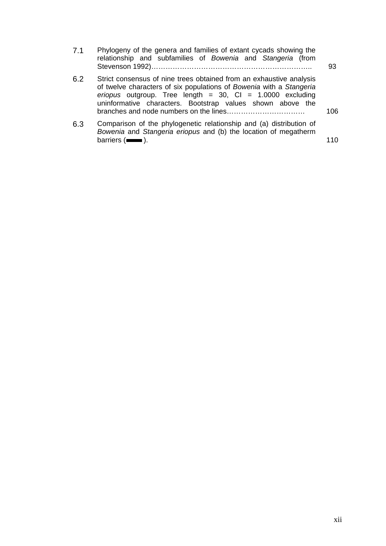| 7.1 | Phylogeny of the genera and families of extant cycads showing the |  |  |  |  |  |    |
|-----|-------------------------------------------------------------------|--|--|--|--|--|----|
|     | relationship and subfamilies of Bowenia and Stangeria (from       |  |  |  |  |  |    |
|     |                                                                   |  |  |  |  |  | 93 |

6.2 Strict consensus of nine trees obtained from an exhaustive analysis of twelve characters of six populations of *Bowenia* with a *Stangeria eriopus* outgroup. Tree length = 30, CI = 1.0000 excluding uninformative characters. Bootstrap values shown above the branches and node numbers on the lines…………………………… 106

6.3 Comparison of the phylogenetic relationship and (a) distribution of *Bowenia* and *Stangeria eriopus* and (b) the location of megatherm  $barriers$  ( $\longrightarrow$ ).  $\qquad \qquad$  110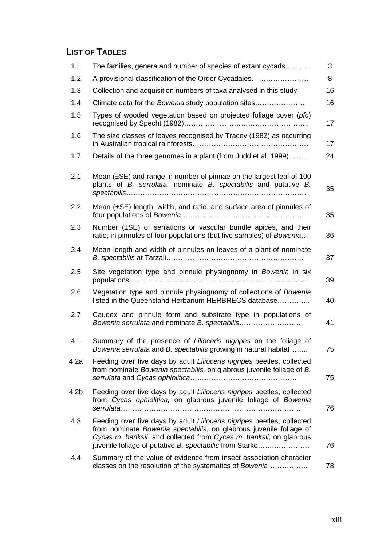## **LIST OF TABLES**

| 1.1  | The families, genera and number of species of extant cycads                                                                                                                                                                                                                   | 3  |
|------|-------------------------------------------------------------------------------------------------------------------------------------------------------------------------------------------------------------------------------------------------------------------------------|----|
| 1.2  | A provisional classification of the Order Cycadales.                                                                                                                                                                                                                          | 8  |
| 1.3  | Collection and acquisition numbers of taxa analysed in this study                                                                                                                                                                                                             | 16 |
| 1.4  | Climate data for the Bowenia study population sites                                                                                                                                                                                                                           | 16 |
| 1.5  | Types of wooded vegetation based on projected foliage cover (pfc)                                                                                                                                                                                                             | 17 |
| 1.6  | The size classes of leaves recognised by Tracey (1982) as occurring                                                                                                                                                                                                           | 17 |
| 1.7  | Details of the three genomes in a plant (from Judd et al. 1999)                                                                                                                                                                                                               | 24 |
| 2.1  | Mean $(\pm SE)$ and range in number of pinnae on the largest leaf of 100<br>plants of B. serrulata, nominate B. spectabilis and putative B.                                                                                                                                   | 35 |
| 2.2  | Mean $(\pm SE)$ length, width, and ratio, and surface area of pinnules of                                                                                                                                                                                                     | 35 |
| 2.3  | Number $(\pm SE)$ of serrations or vascular bundle apices, and their<br>ratio, in pinnules of four populations (but five samples) of Bowenia                                                                                                                                  | 36 |
| 2.4  | Mean length and width of pinnules on leaves of a plant of nominate                                                                                                                                                                                                            | 37 |
| 2.5  | Site vegetation type and pinnule physiognomy in Bowenia in six                                                                                                                                                                                                                | 39 |
| 2.6  | Vegetation type and pinnule physiognomy of collections of Bowenia<br>listed in the Queensland Herbarium HERBRECS database                                                                                                                                                     | 40 |
| 2.7  | Caudex and pinnule form and substrate type in populations of                                                                                                                                                                                                                  | 41 |
| 4.1  | Summary of the presence of Lilioceris nigripes on the foliage of<br>Bowenia serrulata and B. spectabilis growing in natural habitat                                                                                                                                           | 75 |
| 4.2a | Feeding over five days by adult Lilioceris nigripes beetles, collected<br>from nominate Bowenia spectabilis, on glabrous juvenile foliage of B.                                                                                                                               | 75 |
| 4.2b | Feeding over five days by adult Lilioceris nigripes beetles, collected<br>from Cycas ophiolitica, on glabrous juvenile foliage of Bowenia                                                                                                                                     | 76 |
| 4.3  | Feeding over five days by adult Lilioceris nigripes beetles, collected<br>from nominate Bowenia spectabilis, on glabrous juvenile foliage of<br>Cycas m. banksii, and collected from Cycas m. banksii, on glabrous<br>juvenile foliage of putative B. spectabilis from Starke | 76 |
| 4.4  | Summary of the value of evidence from insect association character<br>classes on the resolution of the systematics of Bowenia                                                                                                                                                 | 78 |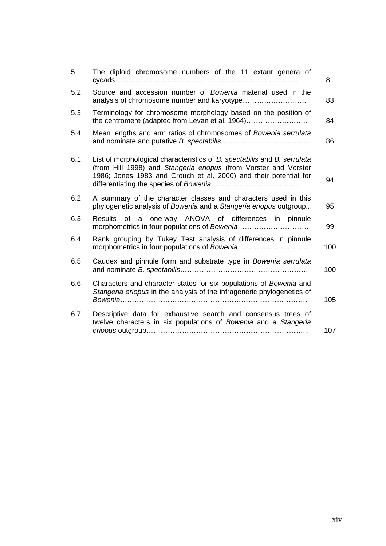| 5.1 | The diploid chromosome numbers of the 11 extant genera of                                                                                                                                                        | 81  |
|-----|------------------------------------------------------------------------------------------------------------------------------------------------------------------------------------------------------------------|-----|
| 5.2 | Source and accession number of Bowenia material used in the                                                                                                                                                      | 83  |
| 5.3 | Terminology for chromosome morphology based on the position of<br>the centromere (adapted from Levan et al. 1964)                                                                                                | 84  |
| 5.4 | Mean lengths and arm ratios of chromosomes of Bowenia serrulata                                                                                                                                                  | 86  |
| 6.1 | List of morphological characteristics of B. spectabilis and B. serrulata<br>(from Hill 1998) and Stangeria eriopus (from Vorster and Vorster<br>1986; Jones 1983 and Crouch et al. 2000) and their potential for | 94  |
| 6.2 | A summary of the character classes and characters used in this<br>phylogenetic analysis of Bowenia and a Stangeria eriopus outgroup                                                                              | 95  |
| 6.3 | Results of a one-way ANOVA of differences in pinnule                                                                                                                                                             | 99  |
| 6.4 | Rank grouping by Tukey Test analysis of differences in pinnule                                                                                                                                                   | 100 |
| 6.5 | Caudex and pinnule form and substrate type in Bowenia serrulata                                                                                                                                                  | 100 |
| 6.6 | Characters and character states for six populations of Bowenia and<br>Stangeria eriopus in the analysis of the infrageneric phylogenetics of<br>Bowenia                                                          | 105 |
| 6.7 | Descriptive data for exhaustive search and consensus trees of<br>twelve characters in six populations of Bowenia and a Stangeria                                                                                 | 107 |